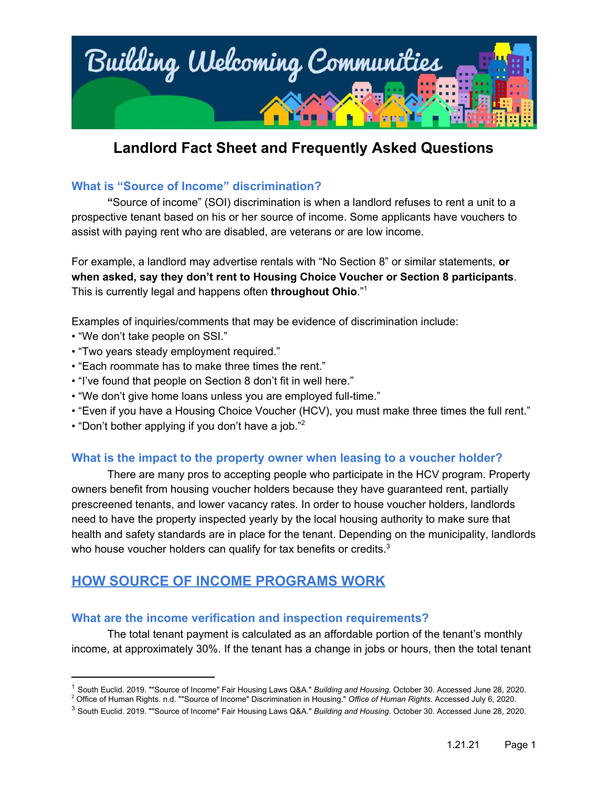

#### **What is "Source of Income" discrimination?**

**"**Source of income" (SOI) discrimination is when a landlord refuses to rent a unit to a prospective tenant based on his or her source of income. Some applicants have vouchers to assist with paying rent who are disabled, are veterans or are low income.

For example, a landlord may advertise rentals with "No Section 8" or similar statements, **or when asked, say they don't rent to Housing Choice Voucher or Section 8 participants**. This is currently legal and happens often **throughout Ohio**." 1

Examples of inquiries/comments that may be evidence of discrimination include:

- "We don't take people on SSI."
- "Two years steady employment required."
- "Each roommate has to make three times the rent."
- "I've found that people on Section 8 don't fit in well here."
- "We don't give home loans unless you are employed full-time."
- "Even if you have a Housing Choice Voucher (HCV), you must make three times the full rent."
- "Don't bother applying if you don't have a job." 2

#### **What is the impact to the property owner when leasing to a voucher holder?**

There are many pros to accepting people who participate in the HCV program. Property owners benefit from housing voucher holders because they have guaranteed rent, partially prescreened tenants, and lower vacancy rates. In order to house voucher holders, landlords need to have the property inspected yearly by the local housing authority to make sure that health and safety standards are in place for the tenant. Depending on the municipality, landlords who house voucher holders can qualify for tax benefits or credits. $3$ 

## **HOW SOURCE OF INCOME PROGRAMS WORK**

#### **What are the income verification and inspection requirements?**

The total tenant payment is calculated as an affordable portion of the tenant's monthly income, at approximately 30%. If the tenant has a change in jobs or hours, then the total tenant

<sup>1</sup> South Euclid. 2019. ""Source of Income" Fair Housing Laws Q&A." *Building and Housing.* October 30. Accessed June 28, 2020.

<sup>2</sup> Office of Human Rights. n.d. ""Source of Income" Discrimination in Housing." *Office of Human Rights.* Accessed July 6, 2020.

<sup>3</sup> South Euclid. 2019. ""Source of Income" Fair Housing Laws Q&A." *Building and Housing.* October 30. Accessed June 28, 2020.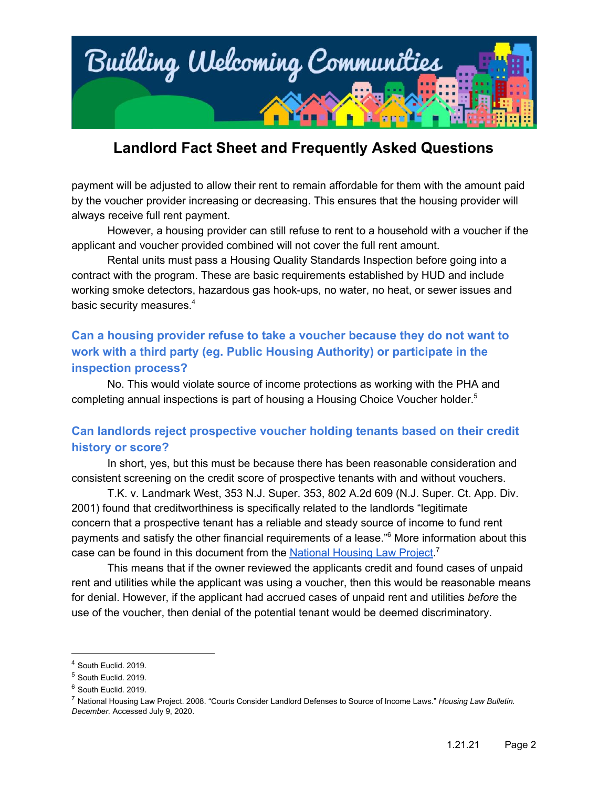

payment will be adjusted to allow their rent to remain affordable for them with the amount paid by the voucher provider increasing or decreasing. This ensures that the housing provider will always receive full rent payment.

However, a housing provider can still refuse to rent to a household with a voucher if the applicant and voucher provided combined will not cover the full rent amount.

Rental units must pass a Housing Quality Standards Inspection before going into a contract with the program. These are basic requirements established by HUD and include working smoke detectors, hazardous gas hook-ups, no water, no heat, or sewer issues and basic security measures. 4

## **Can a housing provider refuse to take a voucher because they do not want to work with a third party (eg. Public Housing Authority) or participate in the inspection process?**

No. This would violate source of income protections as working with the PHA and completing annual inspections is part of housing a Housing Choice Voucher holder. 5

### **Can landlords reject prospective voucher holding tenants based on their credit history or score?**

In short, yes, but this must be because there has been reasonable consideration and consistent screening on the credit score of prospective tenants with and without vouchers.

T.K. v. Landmark West, 353 N.J. Super. 353, 802 A.2d 609 (N.J. Super. Ct. App. Div. 2001) found that creditworthiness is specifically related to the landlords "legitimate concern that a prospective tenant has a reliable and steady source of income to fund rent payments and satisfy the other financial requirements of a lease."<sup>6</sup> More information about this case can be found in this document from the National [Housing](http://nhlp.org/files/03%20NHLP_Bull_NovDec08_source%20of%20income%20defense.pdf) Law Project.<sup>7</sup>

This means that if the owner reviewed the applicants credit and found cases of unpaid rent and utilities while the applicant was using a voucher, then this would be reasonable means for denial. However, if the applicant had accrued cases of unpaid rent and utilities *before* the use of the voucher, then denial of the potential tenant would be deemed discriminatory.

<sup>4</sup> South Euclid. 2019.

<sup>5</sup> South Euclid. 2019.

<sup>6</sup> South Euclid. 2019.

<sup>7</sup> National Housing Law Project. 2008. "Courts Consider Landlord Defenses to Source of Income Laws." *Housing Law Bulletin. December.* Accessed July 9, 2020.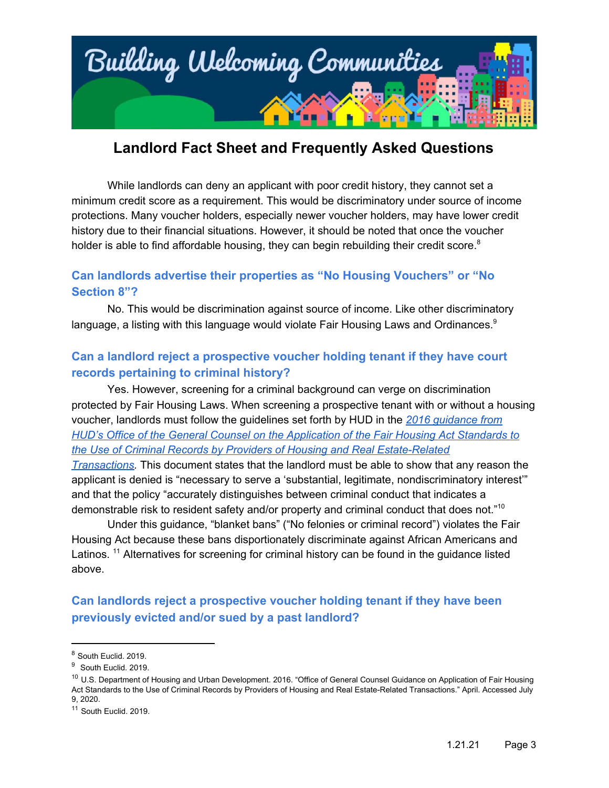

While landlords can deny an applicant with poor credit history, they cannot set a minimum credit score as a requirement. This would be discriminatory under source of income protections. Many voucher holders, especially newer voucher holders, may have lower credit history due to their financial situations. However, it should be noted that once the voucher holder is able to find affordable housing, they can begin rebuilding their credit score.<sup>8</sup>

### **Can landlords advertise their properties as "No Housing Vouchers" or "No Section 8"?**

No. This would be discrimination against source of income. Like other discriminatory language, a listing with this language would violate Fair Housing Laws and Ordinances.<sup>9</sup>

## **Can a landlord reject a prospective voucher holding tenant if they have court records pertaining to criminal history?**

Yes. However, screening for a criminal background can verge on discrimination protected by Fair Housing Laws. When screening a prospective tenant with or without a housing voucher, landlords must follow the guidelines set forth by HUD in the *2016 [guidance](https://www.hud.gov/sites/documents/HUD_OGCGUIDAPPFHASTANDCR.PDF) from HUD's Office of the General Counsel on the [Application](https://www.hud.gov/sites/documents/HUD_OGCGUIDAPPFHASTANDCR.PDF) of the Fair Housing Act Standards to the Use of Criminal Records by Providers of Housing and Real [Estate-Related](https://www.hud.gov/sites/documents/HUD_OGCGUIDAPPFHASTANDCR.PDF)*

*[Transactions.](https://www.hud.gov/sites/documents/HUD_OGCGUIDAPPFHASTANDCR.PDF)* This document states that the landlord must be able to show that any reason the applicant is denied is "necessary to serve a 'substantial, legitimate, nondiscriminatory interest'" and that the policy "accurately distinguishes between criminal conduct that indicates a demonstrable risk to resident safety and/or property and criminal conduct that does not."<sup>10</sup>

Under this guidance, "blanket bans" ("No felonies or criminal record") violates the Fair Housing Act because these bans disportionately discriminate against African Americans and Latinos.<sup>11</sup> Alternatives for screening for criminal history can be found in the guidance listed above.

## **Can landlords reject a prospective voucher holding tenant if they have been previously evicted and/or sued by a past landlord?**

<sup>8</sup> South Euclid. 2019.

<sup>&</sup>lt;sup>9</sup> South Euclid. 2019.

<sup>&</sup>lt;sup>10</sup> U.S. Department of Housing and Urban Development. 2016. "Office of General Counsel Guidance on Application of Fair Housing Act Standards to the Use of Criminal Records by Providers of Housing and Real Estate-Related Transactions." April. Accessed July 9, 2020.

<sup>11</sup> South Euclid. 2019.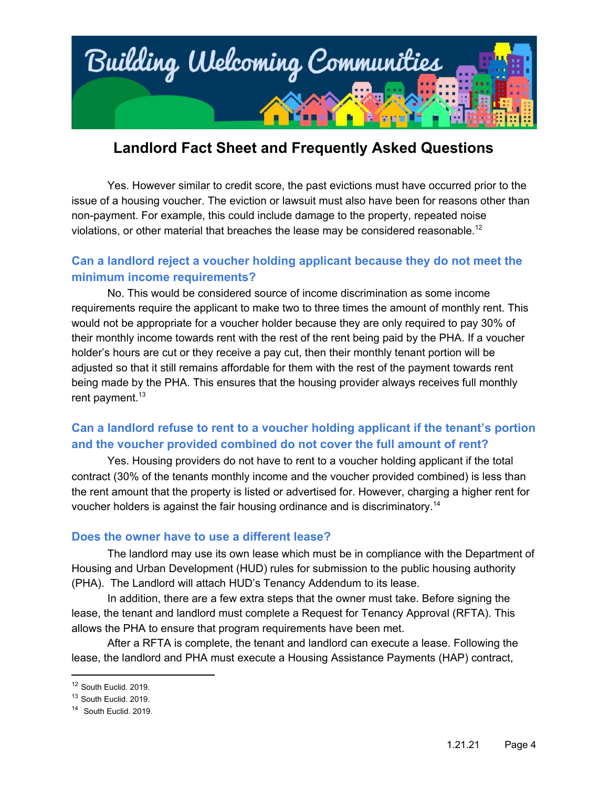

Yes. However similar to credit score, the past evictions must have occurred prior to the issue of a housing voucher. The eviction or lawsuit must also have been for reasons other than non-payment. For example, this could include damage to the property, repeated noise violations, or other material that breaches the lease may be considered reasonable.<sup>12</sup>

### **Can a landlord reject a voucher holding applicant because they do not meet the minimum income requirements?**

No. This would be considered source of income discrimination as some income requirements require the applicant to make two to three times the amount of monthly rent. This would not be appropriate for a voucher holder because they are only required to pay 30% of their monthly income towards rent with the rest of the rent being paid by the PHA. If a voucher holder's hours are cut or they receive a pay cut, then their monthly tenant portion will be adjusted so that it still remains affordable for them with the rest of the payment towards rent being made by the PHA. This ensures that the housing provider always receives full monthly rent payment.<sup>13</sup>

## **Can a landlord refuse to rent to a voucher holding applicant if the tenant's portion and the voucher provided combined do not cover the full amount of rent?**

Yes. Housing providers do not have to rent to a voucher holding applicant if the total contract (30% of the tenants monthly income and the voucher provided combined) is less than the rent amount that the property is listed or advertised for. However, charging a higher rent for voucher holders is against the fair housing ordinance and is discriminatory. 14

#### **Does the owner have to use a different lease?**

The landlord may use its own lease which must be in compliance with the Department of Housing and Urban Development (HUD) rules for submission to the public housing authority (PHA). The Landlord will attach HUD's Tenancy Addendum to its lease.

In addition, there are a few extra steps that the owner must take. Before signing the lease, the tenant and landlord must complete a Request for Tenancy Approval (RFTA). This allows the PHA to ensure that program requirements have been met.

After a RFTA is complete, the tenant and landlord can execute a lease. Following the lease, the landlord and PHA must execute a Housing Assistance Payments (HAP) contract,

<sup>&</sup>lt;sup>12</sup> South Euclid. 2019.

<sup>&</sup>lt;sup>13</sup> South Euclid. 2019.

<sup>&</sup>lt;sup>14</sup> South Euclid. 2019.